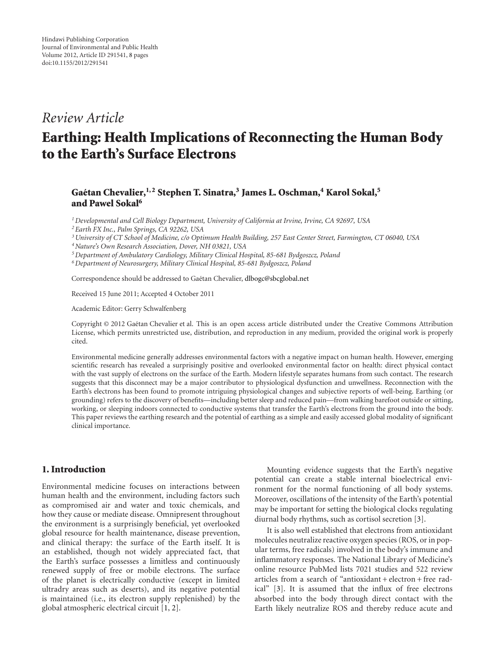## *Review Article*

# Earthing: Health Implications of Reconnecting the Human Body to the Earth's Surface Electrons

## Gaétan Chevalier,<sup>1,2</sup> Stephen T. Sinatra,<sup>3</sup> James L. Oschman,<sup>4</sup> Karol Sokal,<sup>5</sup> and Pawel Sokal<sup>6</sup>

*<sup>1</sup>Developmental and Cell Biology Department, University of California at Irvine, Irvine, CA 92697, USA*

*<sup>2</sup>Earth FX Inc., Palm Springs, CA 92262, USA*

*<sup>3</sup>University of CT School of Medicine, c/o Optimum Health Building, 257 East Center Street, Farmington, CT 06040, USA*

*<sup>4</sup>Nature's Own Research Association, Dover, NH 03821, USA*

*<sup>5</sup>Department of Ambulatory Cardiology, Military Clinical Hospital, 85-681 Bydgoszcz, Poland*

*<sup>6</sup>Department of Neurosurgery, Military Clinical Hospital, 85-681 Bydgoszcz, Poland*

Correspondence should be addressed to Gaétan Chevalier, dlbogc@sbcglobal.net

Received 15 June 2011; Accepted 4 October 2011

Academic Editor: Gerry Schwalfenberg

Copyright © 2012 Gaetan Chevalier et al. This is an open access article distributed under the Creative Commons Attribution ´ License, which permits unrestricted use, distribution, and reproduction in any medium, provided the original work is properly cited.

Environmental medicine generally addresses environmental factors with a negative impact on human health. However, emerging scientific research has revealed a surprisingly positive and overlooked environmental factor on health: direct physical contact with the vast supply of electrons on the surface of the Earth. Modern lifestyle separates humans from such contact. The research suggests that this disconnect may be a major contributor to physiological dysfunction and unwellness. Reconnection with the Earth's electrons has been found to promote intriguing physiological changes and subjective reports of well-being. Earthing (or grounding) refers to the discovery of benefits—including better sleep and reduced pain—from walking barefoot outside or sitting, working, or sleeping indoors connected to conductive systems that transfer the Earth's electrons from the ground into the body. This paper reviews the earthing research and the potential of earthing as a simple and easily accessed global modality of significant clinical importance.

## 1. Introduction

Environmental medicine focuses on interactions between human health and the environment, including factors such as compromised air and water and toxic chemicals, and how they cause or mediate disease. Omnipresent throughout the environment is a surprisingly beneficial, yet overlooked global resource for health maintenance, disease prevention, and clinical therapy: the surface of the Earth itself. It is an established, though not widely appreciated fact, that the Earth's surface possesses a limitless and continuously renewed supply of free or mobile electrons. The surface of the planet is electrically conductive (except in limited ultradry areas such as deserts), and its negative potential is maintained (i.e., its electron supply replenished) by the global atmospheric electrical circuit [1, 2].

Mounting evidence suggests that the Earth's negative potential can create a stable internal bioelectrical environment for the normal functioning of all body systems. Moreover, oscillations of the intensity of the Earth's potential may be important for setting the biological clocks regulating diurnal body rhythms, such as cortisol secretion [3].

It is also well established that electrons from antioxidant molecules neutralize reactive oxygen species (ROS, or in popular terms, free radicals) involved in the body's immune and inflammatory responses. The National Library of Medicine's online resource PubMed lists 7021 studies and 522 review articles from a search of "antioxidant + electron + free radical" [3]. It is assumed that the influx of free electrons absorbed into the body through direct contact with the Earth likely neutralize ROS and thereby reduce acute and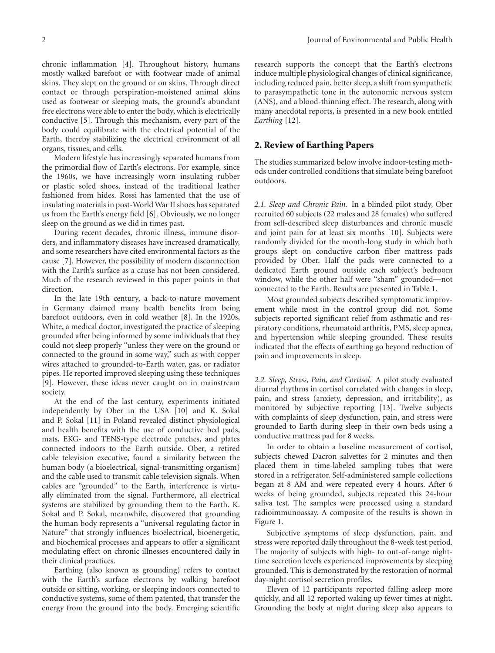chronic inflammation [4]. Throughout history, humans mostly walked barefoot or with footwear made of animal skins. They slept on the ground or on skins. Through direct contact or through perspiration-moistened animal skins used as footwear or sleeping mats, the ground's abundant free electrons were able to enter the body, which is electrically conductive [5]. Through this mechanism, every part of the body could equilibrate with the electrical potential of the Earth, thereby stabilizing the electrical environment of all organs, tissues, and cells.

Modern lifestyle has increasingly separated humans from the primordial flow of Earth's electrons. For example, since the 1960s, we have increasingly worn insulating rubber or plastic soled shoes, instead of the traditional leather fashioned from hides. Rossi has lamented that the use of insulating materials in post-World War II shoes has separated us from the Earth's energy field [6]. Obviously, we no longer sleep on the ground as we did in times past.

During recent decades, chronic illness, immune disorders, and inflammatory diseases have increased dramatically, and some researchers have cited environmental factors as the cause [7]. However, the possibility of modern disconnection with the Earth's surface as a cause has not been considered. Much of the research reviewed in this paper points in that direction.

In the late 19th century, a back-to-nature movement in Germany claimed many health benefits from being barefoot outdoors, even in cold weather [8]. In the 1920s, White, a medical doctor, investigated the practice of sleeping grounded after being informed by some individuals that they could not sleep properly "unless they were on the ground or connected to the ground in some way," such as with copper wires attached to grounded-to-Earth water, gas, or radiator pipes. He reported improved sleeping using these techniques [9]. However, these ideas never caught on in mainstream society.

At the end of the last century, experiments initiated independently by Ober in the USA [10] and K. Sokal and P. Sokal [11] in Poland revealed distinct physiological and health benefits with the use of conductive bed pads, mats, EKG- and TENS-type electrode patches, and plates connected indoors to the Earth outside. Ober, a retired cable television executive, found a similarity between the human body (a bioelectrical, signal-transmitting organism) and the cable used to transmit cable television signals. When cables are "grounded" to the Earth, interference is virtually eliminated from the signal. Furthermore, all electrical systems are stabilized by grounding them to the Earth. K. Sokal and P. Sokal, meanwhile, discovered that grounding the human body represents a "universal regulating factor in Nature" that strongly influences bioelectrical, bioenergetic, and biochemical processes and appears to offer a significant modulating effect on chronic illnesses encountered daily in their clinical practices.

Earthing (also known as grounding) refers to contact with the Earth's surface electrons by walking barefoot outside or sitting, working, or sleeping indoors connected to conductive systems, some of them patented, that transfer the energy from the ground into the body. Emerging scientific

research supports the concept that the Earth's electrons induce multiple physiological changes of clinical significance, including reduced pain, better sleep, a shift from sympathetic to parasympathetic tone in the autonomic nervous system (ANS), and a blood-thinning effect. The research, along with many anecdotal reports, is presented in a new book entitled *Earthing* [12].

### 2. Review of Earthing Papers

The studies summarized below involve indoor-testing methods under controlled conditions that simulate being barefoot outdoors.

*2.1. Sleep and Chronic Pain.* In a blinded pilot study, Ober recruited 60 subjects (22 males and 28 females) who suffered from self-described sleep disturbances and chronic muscle and joint pain for at least six months [10]. Subjects were randomly divided for the month-long study in which both groups slept on conductive carbon fiber mattress pads provided by Ober. Half the pads were connected to a dedicated Earth ground outside each subject's bedroom window, while the other half were "sham" grounded—not connected to the Earth. Results are presented in Table 1.

Most grounded subjects described symptomatic improvement while most in the control group did not. Some subjects reported significant relief from asthmatic and respiratory conditions, rheumatoid arthritis, PMS, sleep apnea, and hypertension while sleeping grounded. These results indicated that the effects of earthing go beyond reduction of pain and improvements in sleep.

*2.2. Sleep, Stress, Pain, and Cortisol.* A pilot study evaluated diurnal rhythms in cortisol correlated with changes in sleep, pain, and stress (anxiety, depression, and irritability), as monitored by subjective reporting [13]. Twelve subjects with complaints of sleep dysfunction, pain, and stress were grounded to Earth during sleep in their own beds using a conductive mattress pad for 8 weeks.

In order to obtain a baseline measurement of cortisol, subjects chewed Dacron salvettes for 2 minutes and then placed them in time-labeled sampling tubes that were stored in a refrigerator. Self-administered sample collections began at 8 AM and were repeated every 4 hours. After 6 weeks of being grounded, subjects repeated this 24-hour saliva test. The samples were processed using a standard radioimmunoassay. A composite of the results is shown in Figure 1.

Subjective symptoms of sleep dysfunction, pain, and stress were reported daily throughout the 8-week test period. The majority of subjects with high- to out-of-range nighttime secretion levels experienced improvements by sleeping grounded. This is demonstrated by the restoration of normal day-night cortisol secretion profiles.

Eleven of 12 participants reported falling asleep more quickly, and all 12 reported waking up fewer times at night. Grounding the body at night during sleep also appears to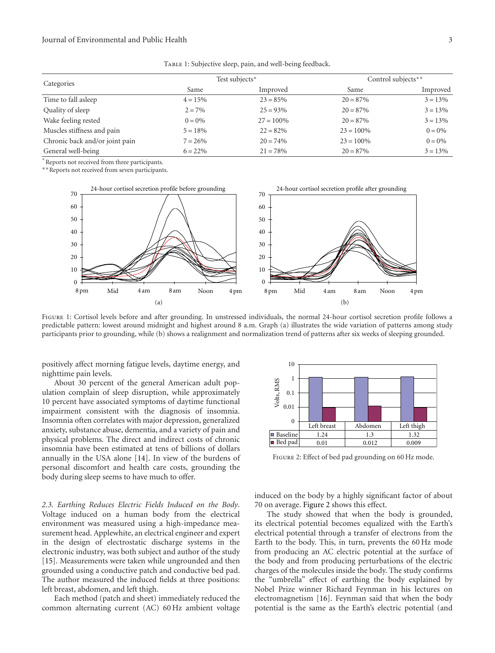| Categories                     | Test subjects* |              | Control subjects** |            |
|--------------------------------|----------------|--------------|--------------------|------------|
|                                | Same           | Improved     | Same               | Improved   |
| Time to fall asleep            | $4 = 15\%$     | $23 = 85\%$  | $20 = 87\%$        | $3 = 13\%$ |
| Quality of sleep               | $2 = 7\%$      | $25 = 93\%$  | $20 = 87\%$        | $3 = 13\%$ |
| Wake feeling rested            | $0 = 0\%$      | $27 = 100\%$ | $20 = 87\%$        | $3 = 13\%$ |
| Muscles stiffness and pain     | $5 = 18\%$     | $22 = 82\%$  | $23 = 100\%$       | $0 = 0\%$  |
| Chronic back and/or joint pain | $7 = 26\%$     | $20 = 74\%$  | $23 = 100\%$       | $0 = 0\%$  |
| General well-being             | $6 = 22\%$     | $21 = 78\%$  | $20 = 87\%$        | $3 = 13\%$ |

TABLE 1: Subjective sleep, pain, and well-being feedback.

∗ Reports not received from three participants.

∗∗Reports not received from seven participants.



Figure 1: Cortisol levels before and after grounding. In unstressed individuals, the normal 24-hour cortisol secretion profile follows a predictable pattern: lowest around midnight and highest around 8 a.m. Graph (a) illustrates the wide variation of patterns among study participants prior to grounding, while (b) shows a realignment and normalization trend of patterns after six weeks of sleeping grounded.

positively affect morning fatigue levels, daytime energy, and nighttime pain levels.

About 30 percent of the general American adult population complain of sleep disruption, while approximately 10 percent have associated symptoms of daytime functional impairment consistent with the diagnosis of insomnia. Insomnia often correlates with major depression, generalized anxiety, substance abuse, dementia, and a variety of pain and physical problems. The direct and indirect costs of chronic insomnia have been estimated at tens of billions of dollars annually in the USA alone [14]. In view of the burdens of personal discomfort and health care costs, grounding the body during sleep seems to have much to offer.

*2.3. Earthing Reduces Electric Fields Induced on the Body.* Voltage induced on a human body from the electrical environment was measured using a high-impedance measurement head. Applewhite, an electrical engineer and expert in the design of electrostatic discharge systems in the electronic industry, was both subject and author of the study [15]. Measurements were taken while ungrounded and then grounded using a conductive patch and conductive bed pad. The author measured the induced fields at three positions: left breast, abdomen, and left thigh.

Each method (patch and sheet) immediately reduced the common alternating current (AC) 60 Hz ambient voltage



Figure 2: Effect of bed pad grounding on 60 Hz mode.

induced on the body by a highly significant factor of about 70 on average. Figure 2 shows this effect.

The study showed that when the body is grounded, its electrical potential becomes equalized with the Earth's electrical potential through a transfer of electrons from the Earth to the body. This, in turn, prevents the 60 Hz mode from producing an AC electric potential at the surface of the body and from producing perturbations of the electric charges of the molecules inside the body. The study confirms the "umbrella" effect of earthing the body explained by Nobel Prize winner Richard Feynman in his lectures on electromagnetism [16]. Feynman said that when the body potential is the same as the Earth's electric potential (and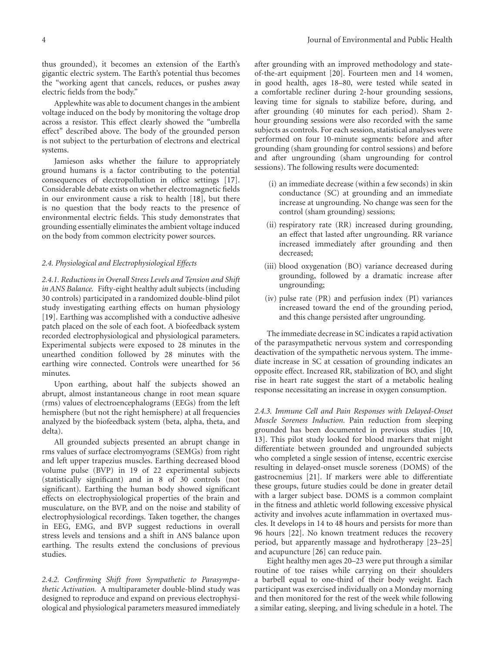thus grounded), it becomes an extension of the Earth's gigantic electric system. The Earth's potential thus becomes the "working agent that cancels, reduces, or pushes away electric fields from the body."

Applewhite was able to document changes in the ambient voltage induced on the body by monitoring the voltage drop across a resistor. This effect clearly showed the "umbrella effect" described above. The body of the grounded person is not subject to the perturbation of electrons and electrical systems.

Jamieson asks whether the failure to appropriately ground humans is a factor contributing to the potential consequences of electropollution in office settings [17]. Considerable debate exists on whether electromagnetic fields in our environment cause a risk to health [18], but there is no question that the body reacts to the presence of environmental electric fields. This study demonstrates that grounding essentially eliminates the ambient voltage induced on the body from common electricity power sources.

#### *2.4. Physiological and Electrophysiological Effects*

*2.4.1. Reductions in Overall Stress Levels and Tension and Shift in ANS Balance.* Fifty-eight healthy adult subjects (including 30 controls) participated in a randomized double-blind pilot study investigating earthing effects on human physiology [19]. Earthing was accomplished with a conductive adhesive patch placed on the sole of each foot. A biofeedback system recorded electrophysiological and physiological parameters. Experimental subjects were exposed to 28 minutes in the unearthed condition followed by 28 minutes with the earthing wire connected. Controls were unearthed for 56 minutes.

Upon earthing, about half the subjects showed an abrupt, almost instantaneous change in root mean square (rms) values of electroencephalograms (EEGs) from the left hemisphere (but not the right hemisphere) at all frequencies analyzed by the biofeedback system (beta, alpha, theta, and delta).

All grounded subjects presented an abrupt change in rms values of surface electromyograms (SEMGs) from right and left upper trapezius muscles. Earthing decreased blood volume pulse (BVP) in 19 of 22 experimental subjects (statistically significant) and in 8 of 30 controls (not significant). Earthing the human body showed significant effects on electrophysiological properties of the brain and musculature, on the BVP, and on the noise and stability of electrophysiological recordings. Taken together, the changes in EEG, EMG, and BVP suggest reductions in overall stress levels and tensions and a shift in ANS balance upon earthing. The results extend the conclusions of previous studies.

*2.4.2. Confirming Shift from Sympathetic to Parasympathetic Activation.* A multiparameter double-blind study was designed to reproduce and expand on previous electrophysiological and physiological parameters measured immediately after grounding with an improved methodology and stateof-the-art equipment [20]. Fourteen men and 14 women, in good health, ages 18–80, were tested while seated in a comfortable recliner during 2-hour grounding sessions, leaving time for signals to stabilize before, during, and after grounding (40 minutes for each period). Sham 2 hour grounding sessions were also recorded with the same subjects as controls. For each session, statistical analyses were performed on four 10-minute segments: before and after grounding (sham grounding for control sessions) and before and after ungrounding (sham ungrounding for control sessions). The following results were documented:

- (i) an immediate decrease (within a few seconds) in skin conductance (SC) at grounding and an immediate increase at ungrounding. No change was seen for the control (sham grounding) sessions;
- (ii) respiratory rate (RR) increased during grounding, an effect that lasted after ungrounding. RR variance increased immediately after grounding and then decreased;
- (iii) blood oxygenation (BO) variance decreased during grounding, followed by a dramatic increase after ungrounding;
- (iv) pulse rate (PR) and perfusion index (PI) variances increased toward the end of the grounding period, and this change persisted after ungrounding.

The immediate decrease in SC indicates a rapid activation of the parasympathetic nervous system and corresponding deactivation of the sympathetic nervous system. The immediate increase in SC at cessation of grounding indicates an opposite effect. Increased RR, stabilization of BO, and slight rise in heart rate suggest the start of a metabolic healing response necessitating an increase in oxygen consumption.

*2.4.3. Immune Cell and Pain Responses with Delayed-Onset Muscle Soreness Induction.* Pain reduction from sleeping grounded has been documented in previous studies [10, 13]. This pilot study looked for blood markers that might differentiate between grounded and ungrounded subjects who completed a single session of intense, eccentric exercise resulting in delayed-onset muscle soreness (DOMS) of the gastrocnemius [21]. If markers were able to differentiate these groups, future studies could be done in greater detail with a larger subject base. DOMS is a common complaint in the fitness and athletic world following excessive physical activity and involves acute inflammation in overtaxed muscles. It develops in 14 to 48 hours and persists for more than 96 hours [22]. No known treatment reduces the recovery period, but apparently massage and hydrotherapy [23–25] and acupuncture [26] can reduce pain.

Eight healthy men ages 20–23 were put through a similar routine of toe raises while carrying on their shoulders a barbell equal to one-third of their body weight. Each participant was exercised individually on a Monday morning and then monitored for the rest of the week while following a similar eating, sleeping, and living schedule in a hotel. The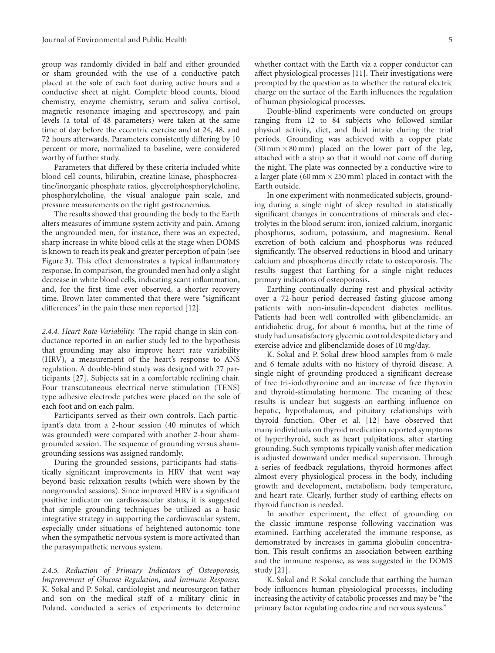group was randomly divided in half and either grounded or sham grounded with the use of a conductive patch placed at the sole of each foot during active hours and a conductive sheet at night. Complete blood counts, blood chemistry, enzyme chemistry, serum and saliva cortisol, magnetic resonance imaging and spectroscopy, and pain levels (a total of 48 parameters) were taken at the same time of day before the eccentric exercise and at 24, 48, and 72 hours afterwards. Parameters consistently differing by 10 percent or more, normalized to baseline, were considered worthy of further study.

Parameters that differed by these criteria included white blood cell counts, bilirubin, creatine kinase, phosphocreatine/inorganic phosphate ratios, glycerolphosphorylcholine, phosphorylcholine, the visual analogue pain scale, and pressure measurements on the right gastrocnemius.

The results showed that grounding the body to the Earth alters measures of immune system activity and pain. Among the ungrounded men, for instance, there was an expected, sharp increase in white blood cells at the stage when DOMS is known to reach its peak and greater perception of pain (see Figure 3). This effect demonstrates a typical inflammatory response. In comparison, the grounded men had only a slight decrease in white blood cells, indicating scant inflammation, and, for the first time ever observed, a shorter recovery time. Brown later commented that there were "significant differences" in the pain these men reported [12].

*2.4.4. Heart Rate Variability.* The rapid change in skin conductance reported in an earlier study led to the hypothesis that grounding may also improve heart rate variability (HRV), a measurement of the heart's response to ANS regulation. A double-blind study was designed with 27 participants [27]. Subjects sat in a comfortable reclining chair. Four transcutaneous electrical nerve stimulation (TENS) type adhesive electrode patches were placed on the sole of each foot and on each palm.

Participants served as their own controls. Each participant's data from a 2-hour session (40 minutes of which was grounded) were compared with another 2-hour shamgrounded session. The sequence of grounding versus shamgrounding sessions was assigned randomly.

During the grounded sessions, participants had statistically significant improvements in HRV that went way beyond basic relaxation results (which were shown by the nongrounded sessions). Since improved HRV is a significant positive indicator on cardiovascular status, it is suggested that simple grounding techniques be utilized as a basic integrative strategy in supporting the cardiovascular system, especially under situations of heightened autonomic tone when the sympathetic nervous system is more activated than the parasympathetic nervous system.

*2.4.5. Reduction of Primary Indicators of Osteoporosis, Improvement of Glucose Regulation, and Immune Response.* K. Sokal and P. Sokal, cardiologist and neurosurgeon father and son on the medical staff of a military clinic in Poland, conducted a series of experiments to determine

whether contact with the Earth via a copper conductor can affect physiological processes [11]. Their investigations were prompted by the question as to whether the natural electric charge on the surface of the Earth influences the regulation of human physiological processes.

Double-blind experiments were conducted on groups ranging from 12 to 84 subjects who followed similar physical activity, diet, and fluid intake during the trial periods. Grounding was achieved with a copper plate  $(30 \text{ mm} \times 80 \text{ mm})$  placed on the lower part of the leg, attached with a strip so that it would not come off during the night. The plate was connected by a conductive wire to a larger plate (60 mm  $\times$  250 mm) placed in contact with the Earth outside.

In one experiment with nonmedicated subjects, grounding during a single night of sleep resulted in statistically significant changes in concentrations of minerals and electrolytes in the blood serum: iron, ionized calcium, inorganic phosphorus, sodium, potassium, and magnesium. Renal excretion of both calcium and phosphorus was reduced significantly. The observed reductions in blood and urinary calcium and phosphorus directly relate to osteoporosis. The results suggest that Earthing for a single night reduces primary indicators of osteoporosis.

Earthing continually during rest and physical activity over a 72-hour period decreased fasting glucose among patients with non-insulin-dependent diabetes mellitus. Patients had been well controlled with glibenclamide, an antidiabetic drug, for about 6 months, but at the time of study had unsatisfactory glycemic control despite dietary and exercise advice and glibenclamide doses of 10 mg/day.

K. Sokal and P. Sokal drew blood samples from 6 male and 6 female adults with no history of thyroid disease. A single night of grounding produced a significant decrease of free tri-iodothyronine and an increase of free thyroxin and thyroid-stimulating hormone. The meaning of these results is unclear but suggests an earthing influence on hepatic, hypothalamus, and pituitary relationships with thyroid function. Ober et al. [12] have observed that many individuals on thyroid medication reported symptoms of hyperthyroid, such as heart palpitations, after starting grounding. Such symptoms typically vanish after medication is adjusted downward under medical supervision. Through a series of feedback regulations, thyroid hormones affect almost every physiological process in the body, including growth and development, metabolism, body temperature, and heart rate. Clearly, further study of earthing effects on thyroid function is needed.

In another experiment, the effect of grounding on the classic immune response following vaccination was examined. Earthing accelerated the immune response, as demonstrated by increases in gamma globulin concentration. This result confirms an association between earthing and the immune response, as was suggested in the DOMS study [21].

K. Sokal and P. Sokal conclude that earthing the human body influences human physiological processes, including increasing the activity of catabolic processes and may be "the primary factor regulating endocrine and nervous systems."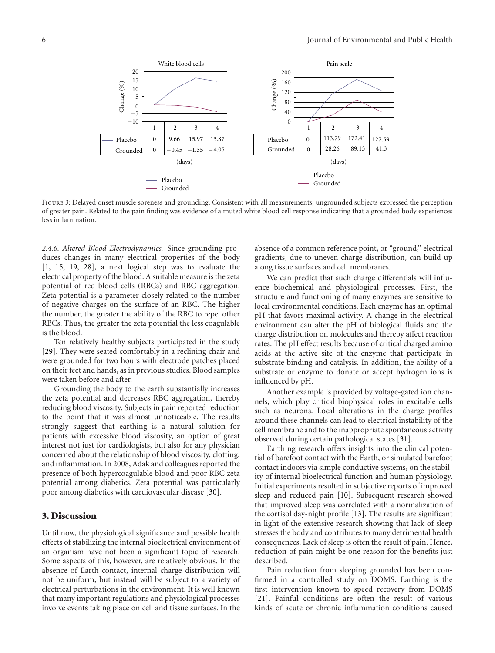

Figure 3: Delayed onset muscle soreness and grounding. Consistent with all measurements, ungrounded subjects expressed the perception of greater pain. Related to the pain finding was evidence of a muted white blood cell response indicating that a grounded body experiences less inflammation.

*2.4.6. Altered Blood Electrodynamics.* Since grounding produces changes in many electrical properties of the body [1, 15, 19, 28], a next logical step was to evaluate the electrical property of the blood. A suitable measure is the zeta potential of red blood cells (RBCs) and RBC aggregation. Zeta potential is a parameter closely related to the number of negative charges on the surface of an RBC. The higher the number, the greater the ability of the RBC to repel other RBCs. Thus, the greater the zeta potential the less coagulable is the blood.

Ten relatively healthy subjects participated in the study [29]. They were seated comfortably in a reclining chair and were grounded for two hours with electrode patches placed on their feet and hands, as in previous studies. Blood samples were taken before and after.

Grounding the body to the earth substantially increases the zeta potential and decreases RBC aggregation, thereby reducing blood viscosity. Subjects in pain reported reduction to the point that it was almost unnoticeable. The results strongly suggest that earthing is a natural solution for patients with excessive blood viscosity, an option of great interest not just for cardiologists, but also for any physician concerned about the relationship of blood viscosity, clotting, and inflammation. In 2008, Adak and colleagues reported the presence of both hypercoagulable blood and poor RBC zeta potential among diabetics. Zeta potential was particularly poor among diabetics with cardiovascular disease [30].

## 3. Discussion

Until now, the physiological significance and possible health effects of stabilizing the internal bioelectrical environment of an organism have not been a significant topic of research. Some aspects of this, however, are relatively obvious. In the absence of Earth contact, internal charge distribution will not be uniform, but instead will be subject to a variety of electrical perturbations in the environment. It is well known that many important regulations and physiological processes involve events taking place on cell and tissue surfaces. In the

absence of a common reference point, or "ground," electrical gradients, due to uneven charge distribution, can build up along tissue surfaces and cell membranes.

We can predict that such charge differentials will influence biochemical and physiological processes. First, the structure and functioning of many enzymes are sensitive to local environmental conditions. Each enzyme has an optimal pH that favors maximal activity. A change in the electrical environment can alter the pH of biological fluids and the charge distribution on molecules and thereby affect reaction rates. The pH effect results because of critical charged amino acids at the active site of the enzyme that participate in substrate binding and catalysis. In addition, the ability of a substrate or enzyme to donate or accept hydrogen ions is influenced by pH.

Another example is provided by voltage-gated ion channels, which play critical biophysical roles in excitable cells such as neurons. Local alterations in the charge profiles around these channels can lead to electrical instability of the cell membrane and to the inappropriate spontaneous activity observed during certain pathological states [31].

Earthing research offers insights into the clinical potential of barefoot contact with the Earth, or simulated barefoot contact indoors via simple conductive systems, on the stability of internal bioelectrical function and human physiology. Initial experiments resulted in subjective reports of improved sleep and reduced pain [10]. Subsequent research showed that improved sleep was correlated with a normalization of the cortisol day-night profile [13]. The results are significant in light of the extensive research showing that lack of sleep stresses the body and contributes to many detrimental health consequences. Lack of sleep is often the result of pain. Hence, reduction of pain might be one reason for the benefits just described.

Pain reduction from sleeping grounded has been confirmed in a controlled study on DOMS. Earthing is the first intervention known to speed recovery from DOMS [21]. Painful conditions are often the result of various kinds of acute or chronic inflammation conditions caused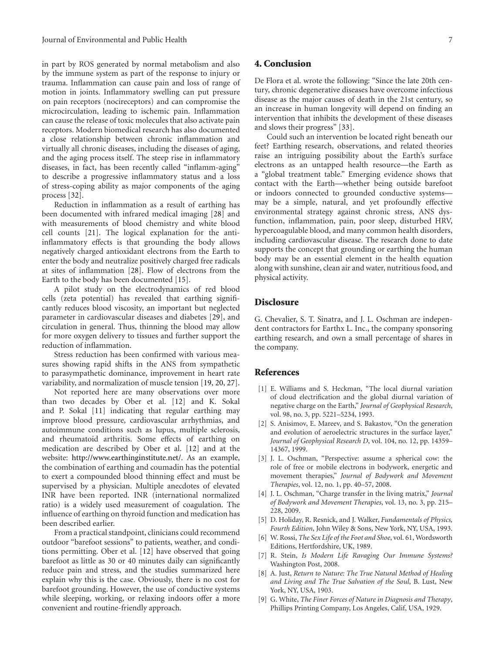in part by ROS generated by normal metabolism and also by the immune system as part of the response to injury or trauma. Inflammation can cause pain and loss of range of motion in joints. Inflammatory swelling can put pressure on pain receptors (nocireceptors) and can compromise the microcirculation, leading to ischemic pain. Inflammation can cause the release of toxic molecules that also activate pain receptors. Modern biomedical research has also documented a close relationship between chronic inflammation and virtually all chronic diseases, including the diseases of aging, and the aging process itself. The steep rise in inflammatory diseases, in fact, has been recently called "inflamm-aging" to describe a progressive inflammatory status and a loss of stress-coping ability as major components of the aging process [32].

Reduction in inflammation as a result of earthing has been documented with infrared medical imaging [28] and with measurements of blood chemistry and white blood cell counts [21]. The logical explanation for the antiinflammatory effects is that grounding the body allows negatively charged antioxidant electrons from the Earth to enter the body and neutralize positively charged free radicals at sites of inflammation [28]. Flow of electrons from the Earth to the body has been documented [15].

A pilot study on the electrodynamics of red blood cells (zeta potential) has revealed that earthing significantly reduces blood viscosity, an important but neglected parameter in cardiovascular diseases and diabetes [29], and circulation in general. Thus, thinning the blood may allow for more oxygen delivery to tissues and further support the reduction of inflammation.

Stress reduction has been confirmed with various measures showing rapid shifts in the ANS from sympathetic to parasympathetic dominance, improvement in heart rate variability, and normalization of muscle tension [19, 20, 27].

Not reported here are many observations over more than two decades by Ober et al. [12] and K. Sokal and P. Sokal [11] indicating that regular earthing may improve blood pressure, cardiovascular arrhythmias, and autoimmune conditions such as lupus, multiple sclerosis, and rheumatoid arthritis. Some effects of earthing on medication are described by Ober et al. [12] and at the website: http://www.earthinginstitute.net/. As an example, the combination of earthing and coumadin has the potential to exert a compounded blood thinning effect and must be supervised by a physician. Multiple anecdotes of elevated INR have been reported. INR (international normalized ratio) is a widely used measurement of coagulation. The influence of earthing on thyroid function and medication has been described earlier.

From a practical standpoint, clinicians could recommend outdoor "barefoot sessions" to patients, weather, and conditions permitting. Ober et al. [12] have observed that going barefoot as little as 30 or 40 minutes daily can significantly reduce pain and stress, and the studies summarized here explain why this is the case. Obviously, there is no cost for barefoot grounding. However, the use of conductive systems while sleeping, working, or relaxing indoors offer a more convenient and routine-friendly approach.

## 4. Conclusion

De Flora et al. wrote the following: "Since the late 20th century, chronic degenerative diseases have overcome infectious disease as the major causes of death in the 21st century, so an increase in human longevity will depend on finding an intervention that inhibits the development of these diseases and slows their progress" [33].

Could such an intervention be located right beneath our feet? Earthing research, observations, and related theories raise an intriguing possibility about the Earth's surface electrons as an untapped health resource—the Earth as a "global treatment table." Emerging evidence shows that contact with the Earth—whether being outside barefoot or indoors connected to grounded conductive systems may be a simple, natural, and yet profoundly effective environmental strategy against chronic stress, ANS dysfunction, inflammation, pain, poor sleep, disturbed HRV, hypercoagulable blood, and many common health disorders, including cardiovascular disease. The research done to date supports the concept that grounding or earthing the human body may be an essential element in the health equation along with sunshine, clean air and water, nutritious food, and physical activity.

#### **Disclosure**

G. Chevalier, S. T. Sinatra, and J. L. Oschman are independent contractors for Earthx L. Inc., the company sponsoring earthing research, and own a small percentage of shares in the company.

#### References

- [1] E. Williams and S. Heckman, "The local diurnal variation of cloud electrification and the global diurnal variation of negative charge on the Earth," *Journal of Geophysical Research*, vol. 98, no. 3, pp. 5221–5234, 1993.
- [2] S. Anisimov, E. Mareev, and S. Bakastov, "On the generation and evolution of aeroelectric structures in the surface layer," *Journal of Geophysical Research D*, vol. 104, no. 12, pp. 14359– 14367, 1999.
- [3] J. L. Oschman, "Perspective: assume a spherical cow: the role of free or mobile electrons in bodywork, energetic and movement therapies," *Journal of Bodywork and Movement Therapies*, vol. 12, no. 1, pp. 40–57, 2008.
- [4] J. L. Oschman, "Charge transfer in the living matrix," *Journal of Bodywork and Movement Therapies*, vol. 13, no. 3, pp. 215– 228, 2009.
- [5] D. Holiday, R. Resnick, and J. Walker, *Fundamentals of Physics, Fourth Edition*, John Wiley & Sons, New York, NY, USA, 1993.
- [6] W. Rossi, *The Sex Life of the Foot and Shoe*, vol. 61, Wordsworth Editions, Hertfordshire, UK, 1989.
- [7] R. Stein, *Is Modern Life Ravaging Our Immune Systems?* Washington Post, 2008.
- [8] A. Just, *Return to Nature: The True Natural Method of Healing and Living and The True Salvation of the Soul*, B. Lust, New York, NY, USA, 1903.
- [9] G. White, *The Finer Forces of Nature in Diagnosis and Therapy*, Phillips Printing Company, Los Angeles, Calif, USA, 1929.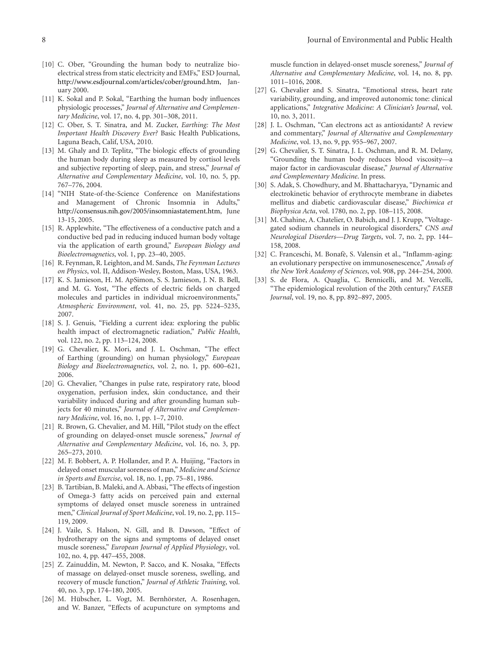- [10] C. Ober, "Grounding the human body to neutralize bioelectrical stress from static electricity and EMFs," ESD Journal, http://www.esdjournal.com/articles/cober/ground.htm, January 2000.
- [11] K. Sokal and P. Sokal, "Earthing the human body influences physiologic processes," *Journal of Alternative and Complementary Medicine*, vol. 17, no. 4, pp. 301–308, 2011.
- [12] C. Ober, S. T. Sinatra, and M. Zucker, *Earthing: The Most Important Health Discovery Ever?* Basic Health Publications, Laguna Beach, Calif, USA, 2010.
- [13] M. Ghaly and D. Teplitz, "The biologic effects of grounding the human body during sleep as measured by cortisol levels and subjective reporting of sleep, pain, and stress," *Journal of Alternative and Complementary Medicine*, vol. 10, no. 5, pp. 767–776, 2004.
- [14] "NIH State-of-the-Science Conference on Manifestations and Management of Chronic Insomnia in Adults," http://consensus.nih.gov/2005/insomniastatement.htm, June 13-15, 2005.
- [15] R. Applewhite, "The effectiveness of a conductive patch and a conductive bed pad in reducing induced human body voltage via the application of earth ground," *European Biology and Bioelectromagnetics*, vol. 1, pp. 23–40, 2005.
- [16] R. Feynman, R. Leighton, and M. Sands, *The Feynman Lectures on Physics*, vol. II, Addison-Wesley, Boston, Mass, USA, 1963.
- [17] K. S. Jamieson, H. M. ApSimon, S. S. Jamieson, J. N. B. Bell, and M. G. Yost, "The effects of electric fields on charged molecules and particles in individual microenvironments," *Atmospheric Environment*, vol. 41, no. 25, pp. 5224–5235, 2007.
- [18] S. J. Genuis, "Fielding a current idea: exploring the public health impact of electromagnetic radiation," *Public Health*, vol. 122, no. 2, pp. 113–124, 2008.
- [19] G. Chevalier, K. Mori, and J. L. Oschman, "The effect of Earthing (grounding) on human physiology," *European Biology and Bioelectromagnetics*, vol. 2, no. 1, pp. 600–621, 2006.
- [20] G. Chevalier, "Changes in pulse rate, respiratory rate, blood oxygenation, perfusion index, skin conductance, and their variability induced during and after grounding human subjects for 40 minutes," *Journal of Alternative and Complementary Medicine*, vol. 16, no. 1, pp. 1–7, 2010.
- [21] R. Brown, G. Chevalier, and M. Hill, "Pilot study on the effect of grounding on delayed-onset muscle soreness," *Journal of Alternative and Complementary Medicine*, vol. 16, no. 3, pp. 265–273, 2010.
- [22] M. F. Bobbert, A. P. Hollander, and P. A. Huijing, "Factors in delayed onset muscular soreness of man," *Medicine and Science in Sports and Exercise*, vol. 18, no. 1, pp. 75–81, 1986.
- [23] B. Tartibian, B. Maleki, and A. Abbasi, "The effects of ingestion of Omega-3 fatty acids on perceived pain and external symptoms of delayed onset muscle soreness in untrained men," *Clinical Journal of Sport Medicine*, vol. 19, no. 2, pp. 115– 119, 2009.
- [24] J. Vaile, S. Halson, N. Gill, and B. Dawson, "Effect of hydrotherapy on the signs and symptoms of delayed onset muscle soreness," *European Journal of Applied Physiology*, vol. 102, no. 4, pp. 447–455, 2008.
- [25] Z. Zainuddin, M. Newton, P. Sacco, and K. Nosaka, "Effects of massage on delayed-onset muscle soreness, swelling, and recovery of muscle function," *Journal of Athletic Training*, vol. 40, no. 3, pp. 174–180, 2005.
- [26] M. Hübscher, L. Vogt, M. Bernhörster, A. Rosenhagen, and W. Banzer, "Effects of acupuncture on symptoms and

muscle function in delayed-onset muscle soreness," *Journal of Alternative and Complementary Medicine*, vol. 14, no. 8, pp. 1011–1016, 2008.

- [27] G. Chevalier and S. Sinatra, "Emotional stress, heart rate variability, grounding, and improved autonomic tone: clinical applications," *Integrative Medicine: A Clinician's Journal*, vol. 10, no. 3, 2011.
- [28] J. L. Oschman, "Can electrons act as antioxidants? A review and commentary," *Journal of Alternative and Complementary Medicine*, vol. 13, no. 9, pp. 955–967, 2007.
- [29] G. Chevalier, S. T. Sinatra, J. L. Oschman, and R. M. Delany, "Grounding the human body reduces blood viscosity—a major factor in cardiovascular disease," *Journal of Alternative and Complementary Medicine*. In press.
- [30] S. Adak, S. Chowdhury, and M. Bhattacharyya, "Dynamic and electrokinetic behavior of erythrocyte membrane in diabetes mellitus and diabetic cardiovascular disease," *Biochimica et Biophysica Acta*, vol. 1780, no. 2, pp. 108–115, 2008.
- [31] M. Chahine, A. Chatelier, O. Babich, and J. J. Krupp, "Voltagegated sodium channels in neurological disorders," *CNS and Neurological Disorders—Drug Targets*, vol. 7, no. 2, pp. 144– 158, 2008.
- [32] C. Franceschi, M. Bonafè, S. Valensin et al., "Inflamm-aging: an evolutionary perspective on immunosenescence," *Annals of the New York Academy of Sciences*, vol. 908, pp. 244–254, 2000.
- [33] S. de Flora, A. Quaglia, C. Bennicelli, and M. Vercelli, "The epidemiological revolution of the 20th century," *FASEB Journal*, vol. 19, no. 8, pp. 892–897, 2005.